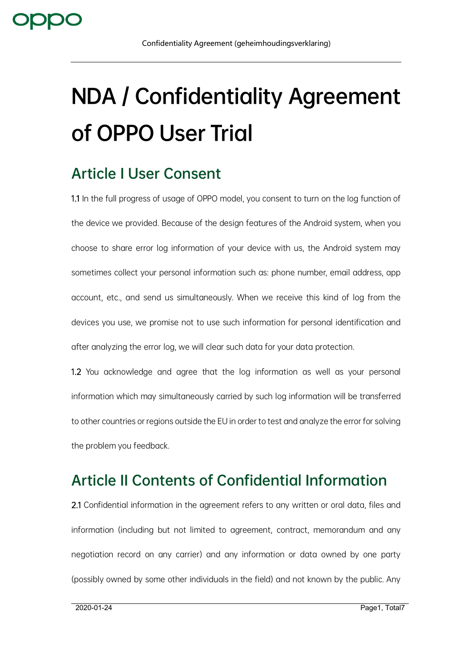# **NDA / Confidentiality Agreement of OPPO User Trial**

## **Article I User Consent**

1.1 In the full progress of usage of OPPO model, you consent to turn on the log function of the device we provided. Because of the design features of the Android system, when you choose to share error log information of your device with us, the Android system may sometimes collect your personal information such as: phone number, email address, app account, etc., and send us simultaneously. When we receive this kind of log from the devices you use, we promise not to use such information for personal identification and after analyzing the error log, we will clear such data for your data protection.

1.2 You acknowledge and agree that the log information as well as your personal information which may simultaneously carried by such log information will be transferred to other countries or regions outside the EU in order to test and analyze the error for solving the problem you feedback.

# **Article II Contents of Confidential Information**

2.1 Confidential information in the agreement refers to any written or oral data, files and information (including but not limited to agreement, contract, memorandum and any negotiation record on any carrier) and any information or data owned by one party (possibly owned by some other individuals in the field) and not known by the public. Any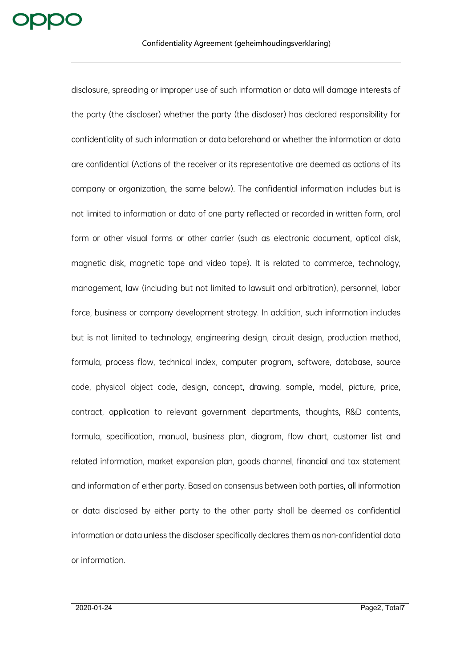disclosure, spreading or improper use of such information or data will damage interests of the party (the discloser) whether the party (the discloser) has declared responsibility for confidentiality of such information or data beforehand or whether the information or data are confidential (Actions of the receiver or its representative are deemed as actions of its company or organization, the same below). The confidential information includes but is not limited to information or data of one party reflected or recorded in written form, oral form or other visual forms or other carrier (such as electronic document, optical disk, magnetic disk, magnetic tape and video tape). It is related to commerce, technology, management, law (including but not limited to lawsuit and arbitration), personnel, labor force, business or company development strategy. In addition, such information includes but is not limited to technology, engineering design, circuit design, production method, formula, process flow, technical index, computer program, software, database, source code, physical object code, design, concept, drawing, sample, model, picture, price, contract, application to relevant government departments, thoughts, R&D contents, formula, specification, manual, business plan, diagram, flow chart, customer list and related information, market expansion plan, goods channel, financial and tax statement and information of either party. Based on consensus between both parties, all information or data disclosed by either party to the other party shall be deemed as confidential information or data unless the discloser specifically declares them as non-confidential data or information.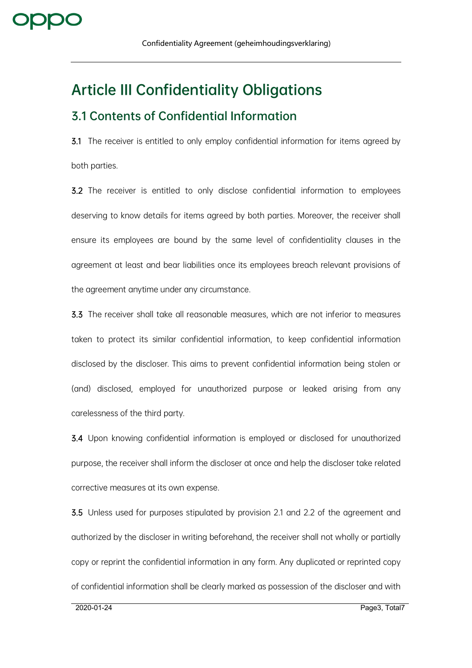## **Article III Confidentiality Obligations**

#### **3.1 Contents of Confidential Information**

3.1 The receiver is entitled to only employ confidential information for items agreed by both parties.

3.2 The receiver is entitled to only disclose confidential information to employees deserving to know details for items agreed by both parties. Moreover, the receiver shall ensure its employees are bound by the same level of confidentiality clauses in the agreement at least and bear liabilities once its employees breach relevant provisions of the agreement anytime under any circumstance.

3.3 The receiver shall take all reasonable measures, which are not inferior to measures taken to protect its similar confidential information, to keep confidential information disclosed by the discloser. This aims to prevent confidential information being stolen or (and) disclosed, employed for unauthorized purpose or leaked arising from any carelessness of the third party.

3.4 Upon knowing confidential information is employed or disclosed for unauthorized purpose, the receiver shall inform the discloser at once and help the discloser take related corrective measures at its own expense.

3.5 Unless used for purposes stipulated by provision 2.1 and 2.2 of the agreement and authorized by the discloser in writing beforehand, the receiver shall not wholly or partially copy or reprint the confidential information in any form. Any duplicated or reprinted copy of confidential information shall be clearly marked as possession of the discloser and with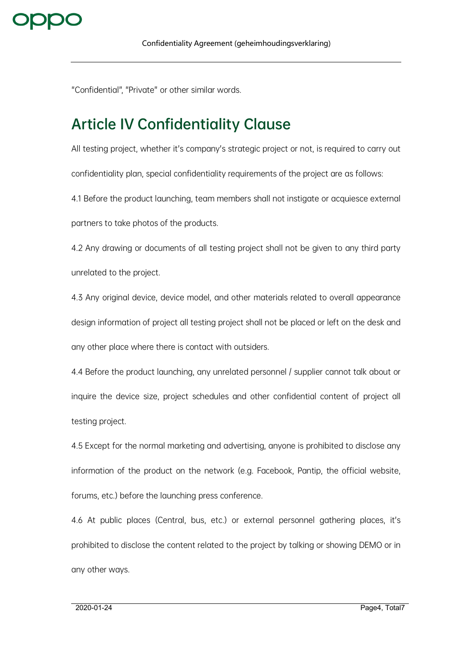

"Confidential", "Private" or other similar words.

### **Article IV Confidentiality Clause**

All testing project, whether it's company's strategic project or not, is required to carry out confidentiality plan, special confidentiality requirements of the project are as follows: 4.1 Before the product launching, team members shall not instigate or acquiesce external partners to take photos of the products.

4.2 Any drawing or documents of all testing project shall not be given to any third party unrelated to the project.

4.3 Any original device, device model, and other materials related to overall appearance design information of project all testing project shall not be placed or left on the desk and any other place where there is contact with outsiders.

4.4 Before the product launching, any unrelated personnel / supplier cannot talk about or inquire the device size, project schedules and other confidential content of project all testing project.

4.5 Except for the normal marketing and advertising, anyone is prohibited to disclose any information of the product on the network (e.g. Facebook, Pantip, the official website, forums, etc.) before the launching press conference.

4.6 At public places (Central, bus, etc.) or external personnel gathering places, it's prohibited to disclose the content related to the project by talking or showing DEMO or in any other ways.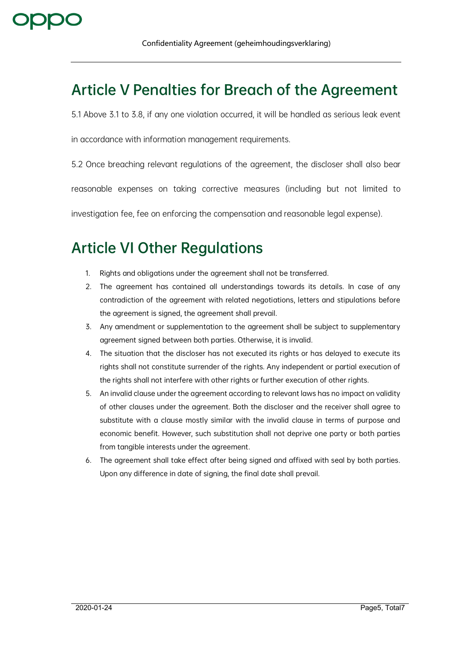## **Article V Penalties for Breach of the Agreement**

5.1 Above 3.1 to 3.8, if any one violation occurred, it will be handled as serious leak event

in accordance with information management requirements.

5.2 Once breaching relevant regulations of the agreement, the discloser shall also bear

reasonable expenses on taking corrective measures (including but not limited to

investigation fee, fee on enforcing the compensation and reasonable legal expense).

## **Article VI Other Regulations**

- 1. Rights and obligations under the agreement shall not be transferred.
- 2. The agreement has contained all understandings towards its details. In case of any contradiction of the agreement with related negotiations, letters and stipulations before the agreement is signed, the agreement shall prevail.
- 3. Any amendment or supplementation to the agreement shall be subject to supplementary agreement signed between both parties. Otherwise, it is invalid.
- 4. The situation that the discloser has not executed its rights or has delayed to execute its rights shall not constitute surrender of the rights. Any independent or partial execution of the rights shall not interfere with other rights or further execution of other rights.
- 5. An invalid clause under the agreement according to relevant laws has no impact on validity of other clauses under the agreement. Both the discloser and the receiver shall agree to substitute with a clause mostly similar with the invalid clause in terms of purpose and economic benefit. However, such substitution shall not deprive one party or both parties from tangible interests under the agreement.
- 6. The agreement shall take effect after being signed and affixed with seal by both parties. Upon any difference in date of signing, the final date shall prevail.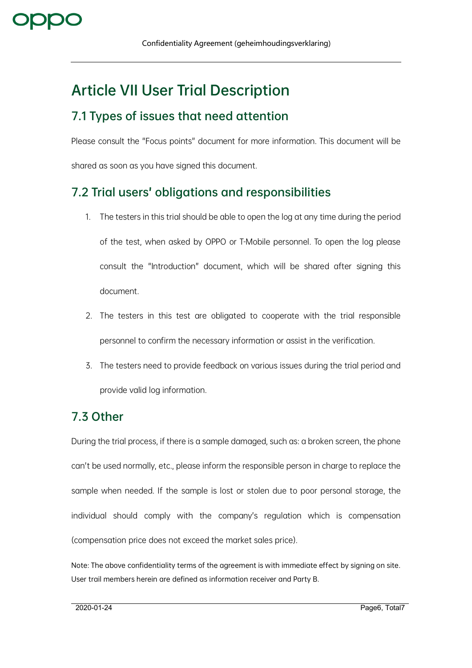## **Article VII User Trial Description**

#### **7.1 Types of issues that need attention**

Please consult the "Focus points" document for more information. This document will be shared as soon as you have signed this document.

#### **7.2 Trial users' obligations and responsibilities**

- 1. The testers in this trial should be able to open the log at any time during the period of the test, when asked by OPPO or T-Mobile personnel. To open the log please consult the "Introduction" document, which will be shared after signing this document.
- 2. The testers in this test are obligated to cooperate with the trial responsible personnel to confirm the necessary information or assist in the verification.
- 3. The testers need to provide feedback on various issues during the trial period and provide valid log information.

#### **7.3 Other**

During the trial process, if there is a sample damaged, such as: a broken screen, the phone can't be used normally, etc., please inform the responsible person in charge to replace the sample when needed. If the sample is lost or stolen due to poor personal storage, the individual should comply with the company's regulation which is compensation (compensation price does not exceed the market sales price).

Note: The above confidentiality terms of the agreement is with immediate effect by signing on site. User trail members herein are defined as information receiver and Party B.